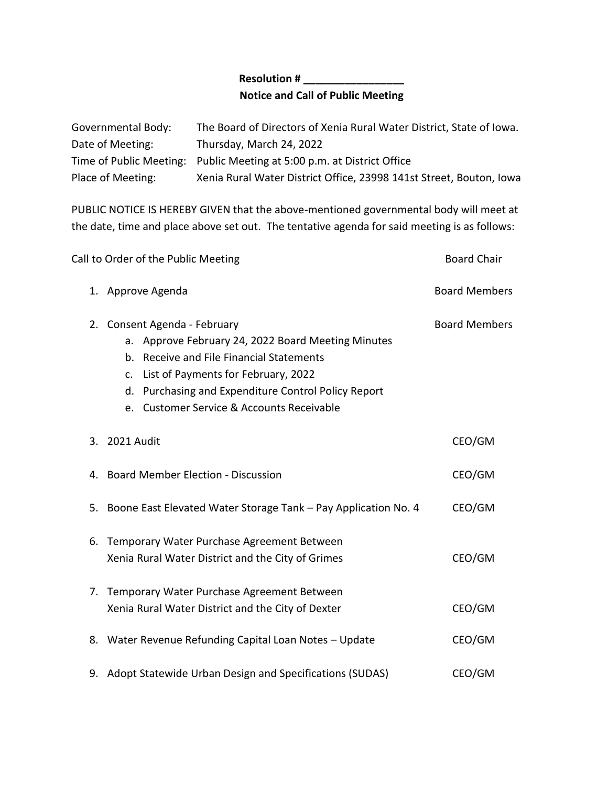## **Resolution # \_\_\_\_\_\_\_\_\_\_\_\_\_\_\_\_\_ Notice and Call of Public Meeting**

| Governmental Body: | The Board of Directors of Xenia Rural Water District, State of Iowa.   |
|--------------------|------------------------------------------------------------------------|
| Date of Meeting:   | Thursday, March 24, 2022                                               |
|                    | Time of Public Meeting: Public Meeting at 5:00 p.m. at District Office |
| Place of Meeting:  | Xenia Rural Water District Office, 23998 141st Street, Bouton, Iowa    |

PUBLIC NOTICE IS HEREBY GIVEN that the above-mentioned governmental body will meet at the date, time and place above set out. The tentative agenda for said meeting is as follows:

| Call to Order of the Public Meeting |                                                                                                                                                                                                                                                                              | <b>Board Chair</b>   |
|-------------------------------------|------------------------------------------------------------------------------------------------------------------------------------------------------------------------------------------------------------------------------------------------------------------------------|----------------------|
|                                     | 1. Approve Agenda                                                                                                                                                                                                                                                            | <b>Board Members</b> |
|                                     | 2. Consent Agenda - February<br>a. Approve February 24, 2022 Board Meeting Minutes<br>b. Receive and File Financial Statements<br>c. List of Payments for February, 2022<br>d. Purchasing and Expenditure Control Policy Report<br>e. Customer Service & Accounts Receivable | <b>Board Members</b> |
|                                     | 3. 2021 Audit                                                                                                                                                                                                                                                                | CEO/GM               |
|                                     | 4. Board Member Election - Discussion                                                                                                                                                                                                                                        | CEO/GM               |
|                                     | 5. Boone East Elevated Water Storage Tank - Pay Application No. 4                                                                                                                                                                                                            | CEO/GM               |
|                                     | 6. Temporary Water Purchase Agreement Between<br>Xenia Rural Water District and the City of Grimes                                                                                                                                                                           | CEO/GM               |
| 7.                                  | Temporary Water Purchase Agreement Between<br>Xenia Rural Water District and the City of Dexter                                                                                                                                                                              | CEO/GM               |
|                                     | 8. Water Revenue Refunding Capital Loan Notes - Update                                                                                                                                                                                                                       | CEO/GM               |
|                                     | 9. Adopt Statewide Urban Design and Specifications (SUDAS)                                                                                                                                                                                                                   | CEO/GM               |